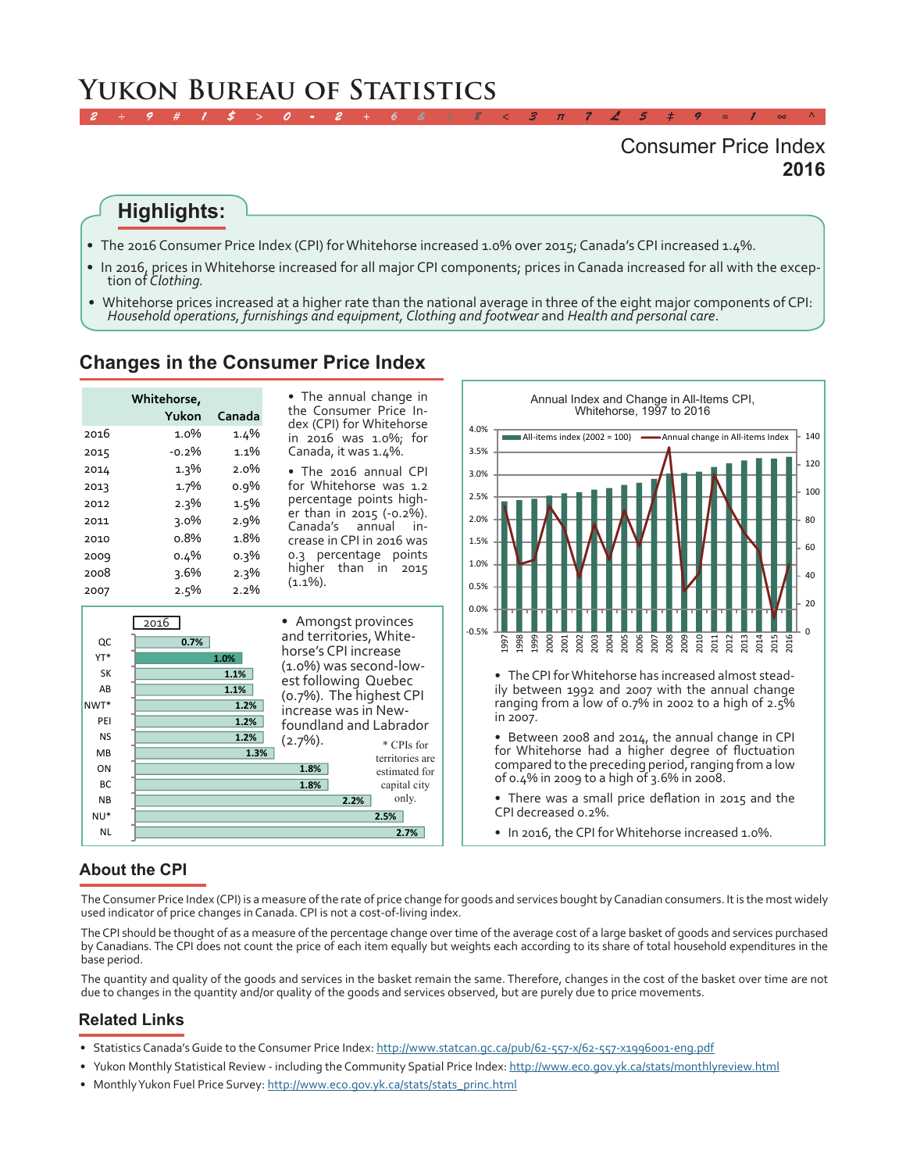# **Yukon Bureau of Statistics**

# **2016** Consumer Price Index

## **Highlights:**

- •  The 2016 Consumer Price Index (CPI) for Whitehorse increased 1.0% over 2015; Canada's CPI increased 1.4%.
- •  In 2016, prices in Whitehorse increased for all major CPI components; prices in Canada increased for all with the excep- tion of *Clothing.*

*2 ÷ 9 # 1 \$ > 0 - 2 + 6 & ± 8 < 3 π 7 £ 5 ‡ 9 ≈ 1 ∞ ^*

•  Whitehorse prices increased at a higher rate than the national average in three of the eight major components of CPI: *Household operations, furnishings and equipment, Clothing and footwear* and *Health and personal care*.

#### **Changes in the Consumer Price Index**

| • The annual change in<br>Whitehorse,<br>the Consumer Price In-<br>Yukon<br>Canada<br>dex (CPI) for Whitehorse |
|----------------------------------------------------------------------------------------------------------------|
| 1.0%<br>2016<br>1.4%<br>in 2016 was 1.0%; for                                                                  |
| 1.1%<br>Canada, it was 1.4%.<br>$-0.2%$<br>2015                                                                |
| $1.3\%$<br>$2.0\%$<br>2014<br>• The 2016 annual CPI                                                            |
| for Whitehorse was 1.2<br>1.7%<br>$0.9\%$<br>2013                                                              |
| percentage points high-<br>2.3%<br>1.5%<br>2012                                                                |
| er than in 2015 (-0.2%).<br>$2.9\%$<br>$3.0\%$<br>2011<br>Canada's annual                                      |
| 1.8%<br>$0.8\%$<br>2010<br>crease in CPI in 2016 was                                                           |
| 0.3 percentage points<br>$0.3\%$<br>$0.4\%$<br>2009                                                            |
| higher than in 2015<br>3.6%<br>$2.3\%$<br>2008<br>$(1.1\%)$ .                                                  |
| 2.5%<br>$2.2\%$<br>2007                                                                                        |

**1.8% 1.8% 1.3% 1.2% 1.2% 1.2% 1.1% 1.1% 1.0% 0.7%** h 2015 \* CPIs for territories are estimated for capital city **2016** • Amongst provinces and territories, Whitehorse's CPI increase (1.0%) was second-lowest following Quebec (0.7%). The highest CPI increase was in Newfoundland and Labrador (2.7%).



• Between 2008 and 2014, the annual change in CPI for Whitehorse had a higher degree of fluctuation compared to the preceding period, ranging from a low of 0.4% in 2009 to a high of 3.6% in 2008.

- There was a small price deflation in 2015 and the CPI decreased 0.2%.
- In 2016, the CPI for Whitehorse increased 1.0%.

#### **About the CPI**

NL NU\* NB BC ON **M<sub>B</sub>** NS PEI NWT\* AB SK YT\* QC

The Consumer Price Index (CPI) is a measure of the rate of price change for goods and services bought by Canadian consumers. It is the most widely used indicator of price changes in Canada. CPI is not a cost-of-living index.

The CPI should be thought of as a measure of the percentage change over time of the average cost of a large basket of goods and services purchased by Canadians. The CPI does not count the price of each item equally but weights each according to its share of total household expenditures in the base period.

The quantity and quality of the goods and services in the basket remain the same. Therefore, changes in the cost of the basket over time are not due to changes in the quantity and/or quality of the goods and services observed, but are purely due to price movements.

#### **Related Links**

• Statistics Canada's Guide to the Consumer Price Index: http://www.statcan.gc.ca/pub/62-557-x/62-557-x1996001-eng.pdf

**2.7% 2.5%**

only.

**2.2%**

- Yukon Monthly Statistical Review including the Community Spatial Price Index:<http://www.eco.gov.yk.ca/stats/monthlyreview.html>
- Monthly Yukon Fuel Price Survey: [http://www.eco.gov.yk.ca/stats/stats\\_princ.html](http://www.eco.gov.yk.ca/stats/stats_princ.html)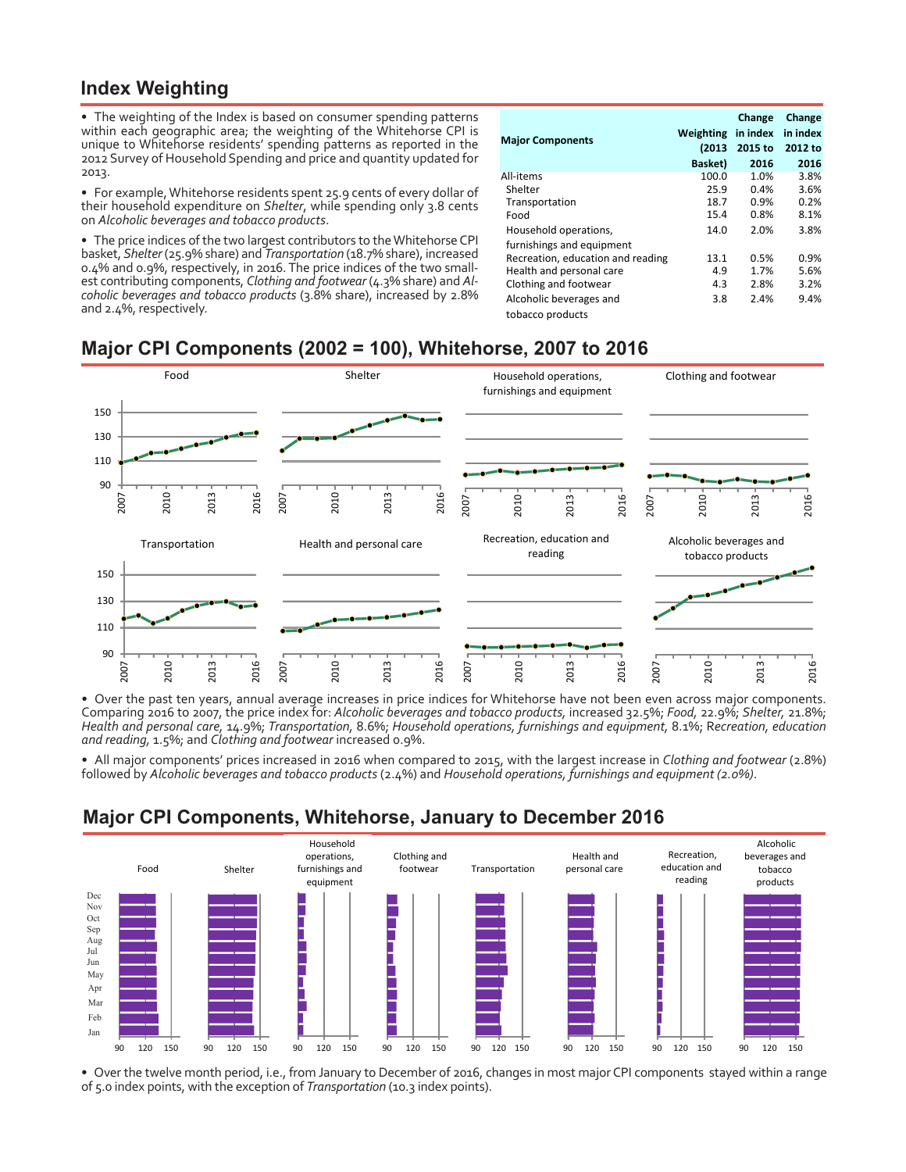## **Index Weighting**

• The weighting of the Index is based on consumer spending patterns within each geographic area; the weighting of the Whitehorse CPI is unique to Whitehorse residents' spending patterns as reported in the 2012 Survey of Household Spending and price and quantity updated for 2013.

•  For example, Whitehorse residents spent 25.9 cents of every dollar of their household expenditure on *Shelter*, while spending only 3.8 cents on *Alcoholic beverages and tobacco products*.

• The price indices of the two largest contributors to the Whitehorse CPI basket, *Shelter* (25.9% share) and *Transportation* (18.7% share), increased 0.4% and 0.9%, respectively, in 2016. The price indices of the two small- est contributing components, *Clothing and footwear* (4.3% share) and *Alcoholic beverages and tobacco products* (3.8% share), increased by 2.8% and 2.4%, respectively.

| <b>Major Components</b>           | Weighting<br>(2013)<br><b>Basket</b> ) | Change<br>in index<br>2015 to<br>2016 | Change<br>in index<br>2012 to<br>2016 |
|-----------------------------------|----------------------------------------|---------------------------------------|---------------------------------------|
| All-items                         | 100.0                                  | 1.0%                                  | 3.8%                                  |
| Shelter                           | 25.9                                   | 0.4%                                  | 3.6%                                  |
| Transportation                    | 18.7                                   | 0.9%                                  | 0.2%                                  |
| Food                              | 15.4                                   | 0.8%                                  | 8.1%                                  |
| Household operations,             | 14.0                                   | 2.0%                                  | 3.8%                                  |
| furnishings and equipment         |                                        |                                       |                                       |
| Recreation, education and reading | 13.1                                   | 0.5%                                  | $0.9\%$                               |
| Health and personal care          | 4.9                                    | 1.7%                                  | 5.6%                                  |
| Clothing and footwear             | 4.3                                    | 2.8%                                  | 3.2%                                  |
| Alcoholic beverages and           | 3.8                                    | 2.4%                                  | 9.4%                                  |
| tobacco products                  |                                        |                                       |                                       |

# **Major CPI Components (2002 = 100), Whitehorse, 2007 to 2016**



•  Over the past ten years, annual average increases in price indices for Whitehorse have not been even across major components. Comparing 2016 to 2007, the price index for: *Alcoholic beverages and tobacco products,* increased 32.5%; *Food,* 22.9%; *Shelter,* 21.8%; *Health and personal care,* 14.9%; *Transportation,* 8.6%; *Household operations, furnishings and equipment,* 8.1%; R*ecreation, education and reading,* 1.5%; and *Clothing and footwear* increased 0.9%.

•  All major components' prices increased in 2016 when compared to 2015, with the largest increase in *Clothing and footwear* (2.8%) followed by *Alcoholic beverages and tobacco products* (2.4%) and *Household operations, furnishings and equipment (2.0%)*.

# **Major CPI Components, Whitehorse, January to December 2016**



•  Over the twelve month period, i.e., from January to December of 2016, changes in most major CPI components stayed within a range of 5.0 index points, with the exception of *Transportation* (10.3 index points).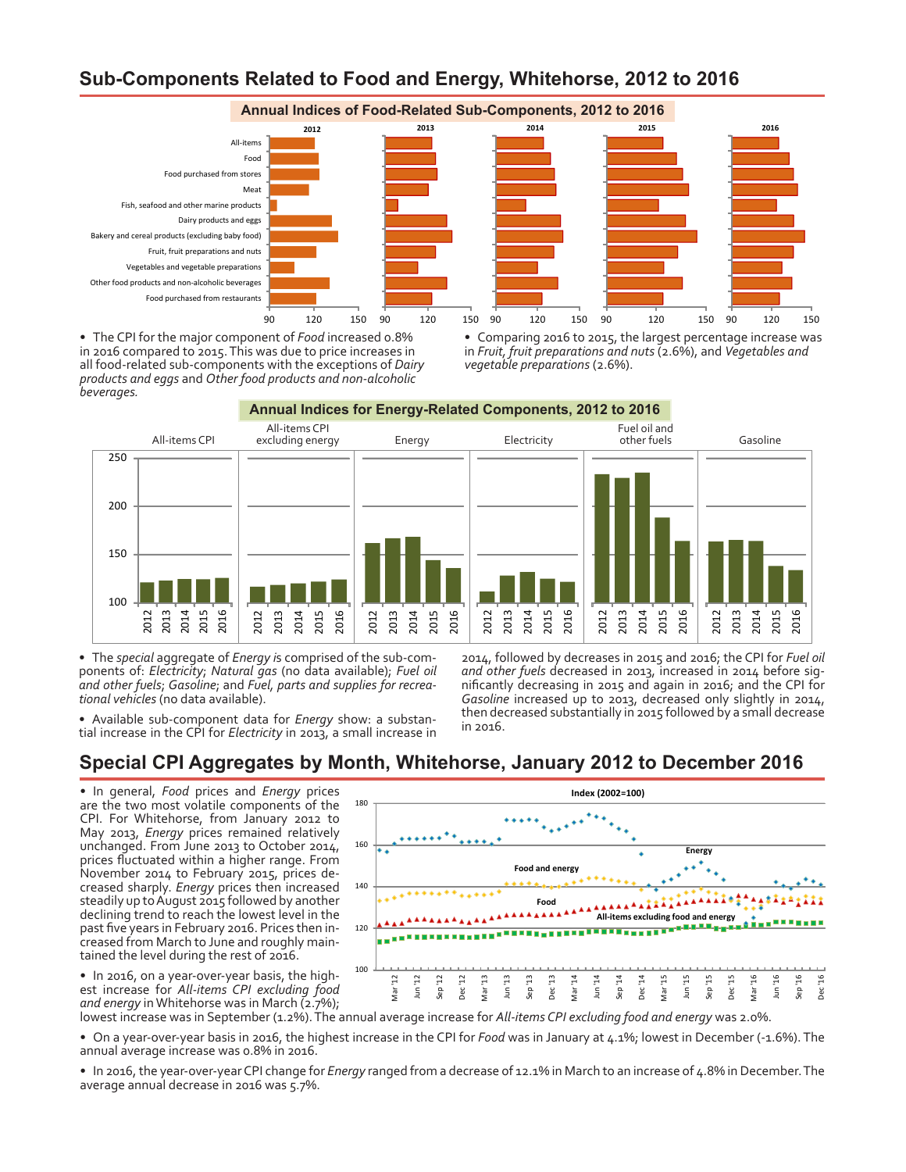# **Sub-Components Related to Food and Energy, Whitehorse, 2012 to 2016**



•  The CPI for the major component of *Food* increased 0.8% in 2016 compared to 2015. This was due to price increases in all food-related sub-components with the exceptions of *Dairy products and eggs* and *Other food products and non-alcoholic beverages.*

• Comparing 2016 to 2015, the largest percentage increase was in *Fruit, fruit preparations and nuts* (2.6%), and *Vegetables and vegetable preparations* (2.6%).

**Annual Indices for Energy-Related Components, 2012 to 2016** All-items CPI All-items CPI excluding energy Energy Electricity Fuel oil and other fuels Gasoline 100 150 200 250 2012 201 2014 2015 2016 2012 2013 2014 2015 2016 2012 2013 2014 2015 2016 2012 2013 2014 2015 2016 2012 2013 2014 2015 2016 2012 2013 2014 2015 2016

•  The *special* aggregate of *Energy i*s comprised of the sub-components of: *Electricity*; *Natural gas* (no data available); *Fuel oil and other fuels*; *Gasoline*; and *Fuel, parts and supplies for recreational vehicles* (no data available).

•  Available sub-component data for *Energy* show: a substan- tial increase in the CPI for *Electricity* in 2013, a small increase in

2014, followed by decreases in 2015 and 2016; the CPI for *Fuel oil and other fuels* decreased in 2013, increased in 2014 before significantly decreasing in 2015 and again in 2016; and the CPI for *Gasoline* increased up to 2013, decreased only slightly in 2014, then decreased substantially in 2015 followed by a small decrease in 2016.

## **Special CPI Aggregates by Month, Whitehorse, January 2012 to December 2016**

•  In general, *Food* prices and *Energy* prices are the two most volatile components of the CPI. For Whitehorse, from January 2012 to May 2013, *Energy* prices remained relatively unchanged. From June 2013 to October 2014, prices fluctuated within a higher range. From November 2014 to February 2015, prices de- creased sharply. *Energy* prices then increased steadily up to August 2015 followed by another declining trend to reach the lowest level in the past five years in February 2016. Prices then in- creased from March to June and roughly main- tained the level during the rest of 2016.



• In 2016, on a year-over-year basis, the highest increase for *All-items CPI excluding food and energy* in Whitehorse was in March (2.7%);

lowest increase was in September (1.2%). The annual average increase for *All-items CPI excluding food and energy* was 2.0%.

•  On a year-over-year basis in 2016, the highest increase in the CPI for *Food* was in January at 4.1%; lowest in December (-1.6%). The annual average increase was 0.8% in 2016.

•  In 2016, the year-over-year CPI change for *Energy* ranged from a decrease of 12.1% in March to an increase of 4.8% in December. The average annual decrease in 2016 was 5.7%.